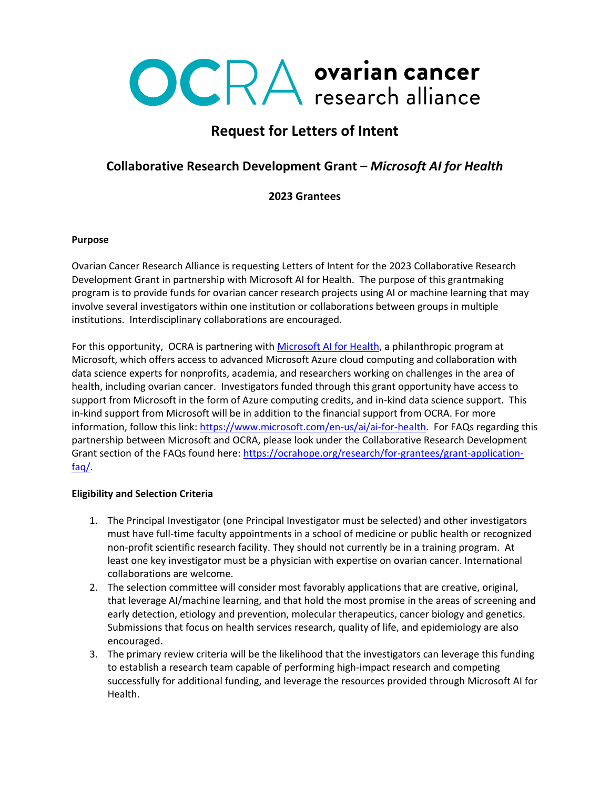# OCRA ovarian cancer

## **Request for Letters of Intent**

### **Collaborative Research Development Grant –** *Microsoft AI for Health*

#### **2023 Grantees**

#### **Purpose**

Ovarian Cancer Research Alliance is requesting Letters of Intent for the 2023 Collaborative Research Development Grant in partnership with Microsoft AI for Health. The purpose of this grantmaking program is to provide funds for ovarian cancer research projects using AI or machine learning that may involve several investigators within one institution or collaborations between groups in multiple institutions. Interdisciplinary collaborations are encouraged.

For this opportunity, OCRA is partnering with [Microsoft AI for Health,](https://www.microsoft.com/en-us/ai/ai-for-health) a philanthropic program at Microsoft, which offers access to advanced Microsoft Azure cloud computing and collaboration with data science experts for nonprofits, academia, and researchers working on challenges in the area of health, including ovarian cancer. Investigators funded through this grant opportunity have access to support from Microsoft in the form of Azure computing credits, and in-kind data science support. This in-kind support from Microsoft will be in addition to the financial support from OCRA. For more information, follow this link: [https://www.microsoft.com/en-us/ai/ai-for-health.](https://www.microsoft.com/en-us/ai/ai-for-health) For FAQs regarding this partnership between Microsoft and OCRA, please look under the Collaborative Research Development Grant section of the FAQs found here: [https://ocrahope.org/research/for-grantees/grant-application](https://ocrahope.org/research/for-grantees/grant-application-faq/)[faq/.](https://ocrahope.org/research/for-grantees/grant-application-faq/)

#### **Eligibility and Selection Criteria**

- 1. The Principal Investigator (one Principal Investigator must be selected) and other investigators must have full-time faculty appointments in a school of medicine or public health or recognized non-profit scientific research facility. They should not currently be in a training program. At least one key investigator must be a physician with expertise on ovarian cancer. International collaborations are welcome.
- 2. The selection committee will consider most favorably applications that are creative, original, that leverage AI/machine learning, and that hold the most promise in the areas of screening and early detection, etiology and prevention, molecular therapeutics, cancer biology and genetics. Submissions that focus on health services research, quality of life, and epidemiology are also encouraged.
- 3. The primary review criteria will be the likelihood that the investigators can leverage this funding to establish a research team capable of performing high-impact research and competing successfully for additional funding, and leverage the resources provided through Microsoft AI for Health.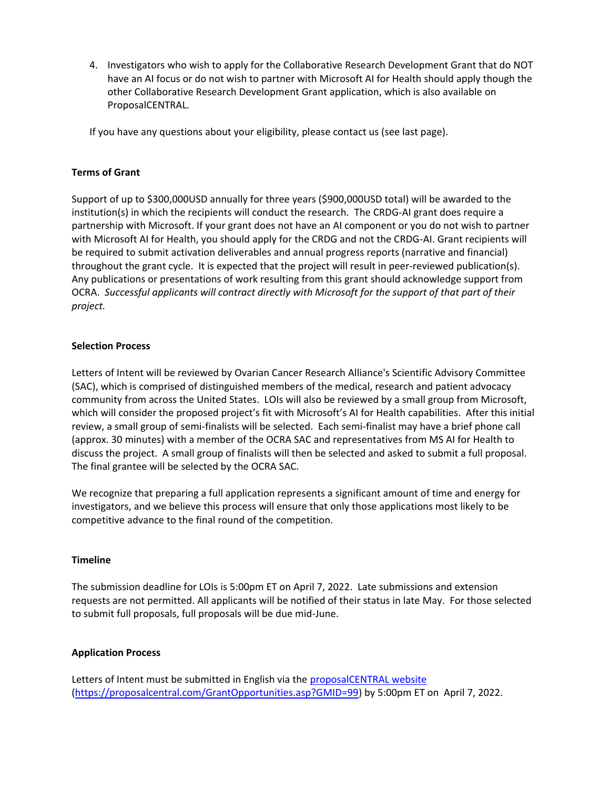4. Investigators who wish to apply for the Collaborative Research Development Grant that do NOT have an AI focus or do not wish to partner with Microsoft AI for Health should apply though the other Collaborative Research Development Grant application, which is also available on ProposalCENTRAL.

If you have any questions about your eligibility, please contact us (see last page).

#### **Terms of Grant**

Support of up to \$300,000USD annually for three years (\$900,000USD total) will be awarded to the institution(s) in which the recipients will conduct the research. The CRDG-AI grant does require a partnership with Microsoft. If your grant does not have an AI component or you do not wish to partner with Microsoft AI for Health, you should apply for the CRDG and not the CRDG-AI. Grant recipients will be required to submit activation deliverables and annual progress reports (narrative and financial) throughout the grant cycle. It is expected that the project will result in peer-reviewed publication(s). Any publications or presentations of work resulting from this grant should acknowledge support from OCRA. *Successful applicants will contract directly with Microsoft for the support of that part of their project.* 

#### **Selection Process**

Letters of Intent will be reviewed by Ovarian Cancer Research Alliance's Scientific Advisory Committee (SAC), which is comprised of distinguished members of the medical, research and patient advocacy community from across the United States. LOIs will also be reviewed by a small group from Microsoft, which will consider the proposed project's fit with Microsoft's AI for Health capabilities. After this initial review, a small group of semi-finalists will be selected. Each semi-finalist may have a brief phone call (approx. 30 minutes) with a member of the OCRA SAC and representatives from MS AI for Health to discuss the project. A small group of finalists will then be selected and asked to submit a full proposal. The final grantee will be selected by the OCRA SAC.

We recognize that preparing a full application represents a significant amount of time and energy for investigators, and we believe this process will ensure that only those applications most likely to be competitive advance to the final round of the competition.

#### **Timeline**

The submission deadline for LOIs is 5:00pm ET on April 7, 2022. Late submissions and extension requests are not permitted. All applicants will be notified of their status in late May. For those selected to submit full proposals, full proposals will be due mid-June.

#### **Application Process**

Letters of Intent must be submitted in English via the [proposalCENTRAL website](https://proposalcentral.com/GrantOpportunities.asp?GMID=99) [\(https://proposalcentral.com/GrantOpportunities.asp?GMID=99\)](https://proposalcentral.com/GrantOpportunities.asp?GMID=99) by 5:00pm ET on April 7, 2022.